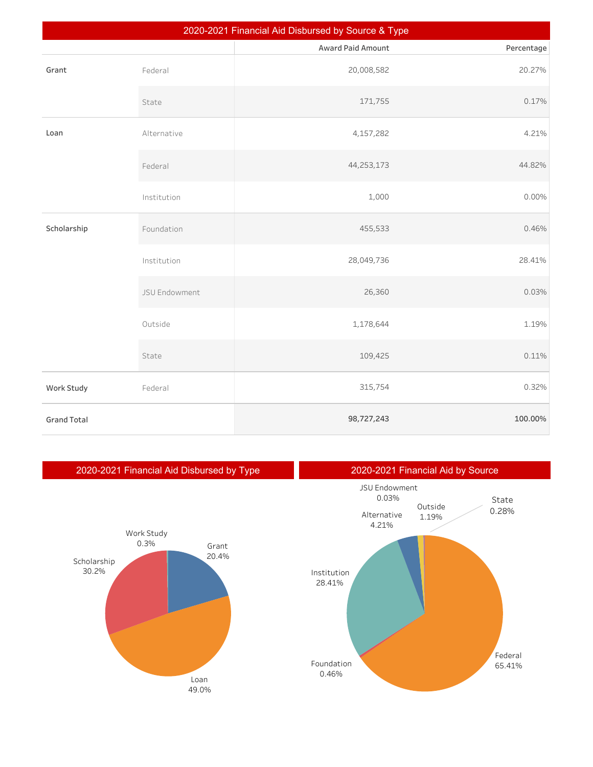| 2020-2021 Financial Aid Disbursed by Source & Type |               |                   |            |  |  |
|----------------------------------------------------|---------------|-------------------|------------|--|--|
|                                                    |               | Award Paid Amount | Percentage |  |  |
| Grant                                              | Federal       | 20,008,582        | 20.27%     |  |  |
|                                                    | State         | 171,755           | 0.17%      |  |  |
| Loan                                               | Alternative   | 4,157,282         | 4.21%      |  |  |
|                                                    | Federal       | 44,253,173        | 44.82%     |  |  |
|                                                    | Institution   | 1,000             | 0.00%      |  |  |
| Scholarship                                        | Foundation    | 455,533           | 0.46%      |  |  |
|                                                    | Institution   | 28,049,736        | 28.41%     |  |  |
|                                                    | JSU Endowment | 26,360            | 0.03%      |  |  |
|                                                    | Outside       | 1,178,644         | 1.19%      |  |  |
|                                                    | State         | 109,425           | 0.11%      |  |  |
| Work Study                                         | Federal       | 315,754           | 0.32%      |  |  |
| <b>Grand Total</b>                                 |               | 98,727,243        | 100.00%    |  |  |







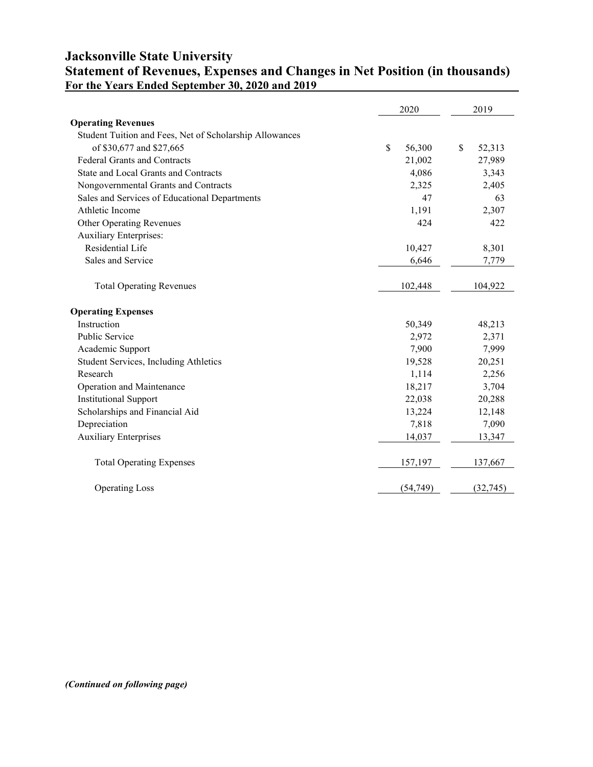## **Jacksonville State University Statement of Revenues, Expenses and Changes in Net Position (in thousands) For the Years Ended September 30, 2020 and 2019**

|                                                         | 2020         | 2019                   |
|---------------------------------------------------------|--------------|------------------------|
| <b>Operating Revenues</b>                               |              |                        |
| Student Tuition and Fees, Net of Scholarship Allowances |              |                        |
| of \$30,677 and \$27,665                                | \$<br>56,300 | $\mathbb{S}$<br>52,313 |
| <b>Federal Grants and Contracts</b>                     | 21,002       | 27,989                 |
| State and Local Grants and Contracts                    | 4,086        | 3,343                  |
| Nongovernmental Grants and Contracts                    | 2,325        | 2,405                  |
| Sales and Services of Educational Departments           | 47           | 63                     |
| Athletic Income                                         | 1,191        | 2,307                  |
| <b>Other Operating Revenues</b>                         | 424          | 422                    |
| <b>Auxiliary Enterprises:</b>                           |              |                        |
| Residential Life                                        | 10,427       | 8,301                  |
| Sales and Service                                       | 6,646        | 7,779                  |
|                                                         |              |                        |
| <b>Total Operating Revenues</b>                         | 102,448      | 104,922                |
| <b>Operating Expenses</b>                               |              |                        |
| Instruction                                             | 50,349       | 48,213                 |
| Public Service                                          | 2,972        | 2,371                  |
| Academic Support                                        | 7,900        | 7,999                  |
| Student Services, Including Athletics                   | 19,528       | 20,251                 |
| Research                                                | 1,114        | 2,256                  |
| Operation and Maintenance                               | 18,217       | 3,704                  |
| <b>Institutional Support</b>                            | 22,038       | 20,288                 |
| Scholarships and Financial Aid                          | 13,224       | 12,148                 |
| Depreciation                                            | 7,818        | 7,090                  |
| <b>Auxiliary Enterprises</b>                            | 14,037       | 13,347                 |
| <b>Total Operating Expenses</b>                         | 157,197      | 137,667                |
| <b>Operating Loss</b>                                   | (54, 749)    | (32, 745)              |

*(Continued on following page)*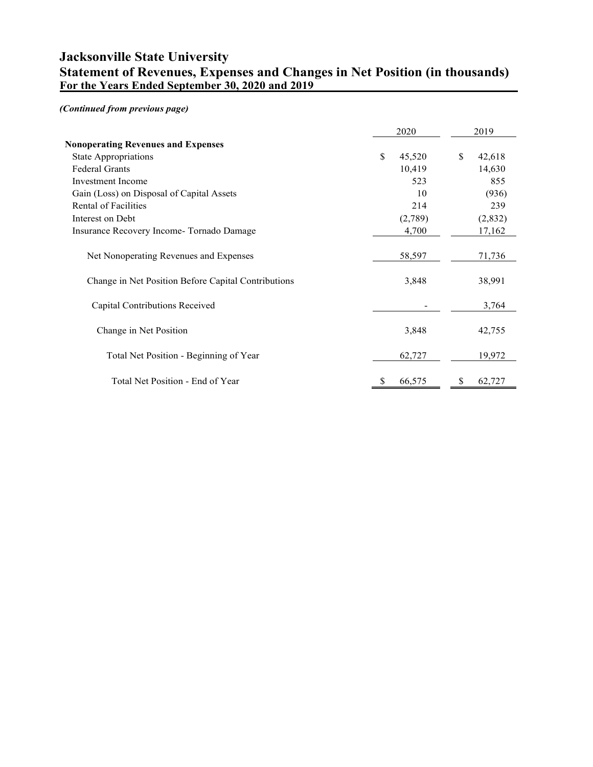## **Jacksonville State University Statement of Revenues, Expenses and Changes in Net Position (in thousands) For the Years Ended September 30, 2020 and 2019**

## *(Continued from previous page)*

|                                                     | 2020         | 2019         |
|-----------------------------------------------------|--------------|--------------|
| <b>Nonoperating Revenues and Expenses</b>           |              |              |
| <b>State Appropriations</b>                         | \$<br>45,520 | \$<br>42,618 |
| <b>Federal Grants</b>                               | 10,419       | 14,630       |
| <b>Investment</b> Income                            | 523          | 855          |
| Gain (Loss) on Disposal of Capital Assets           | 10           | (936)        |
| Rental of Facilities                                | 214          | 239          |
| Interest on Debt                                    | (2,789)      | (2,832)      |
| Insurance Recovery Income-Tornado Damage            | 4,700        | 17,162       |
| Net Nonoperating Revenues and Expenses              | 58,597       | 71,736       |
| Change in Net Position Before Capital Contributions | 3,848        | 38,991       |
| Capital Contributions Received                      |              | 3,764        |
| Change in Net Position                              | 3,848        | 42,755       |
| Total Net Position - Beginning of Year              | 62,727       | 19,972       |
| Total Net Position - End of Year                    | \$<br>66,575 | \$<br>62,727 |